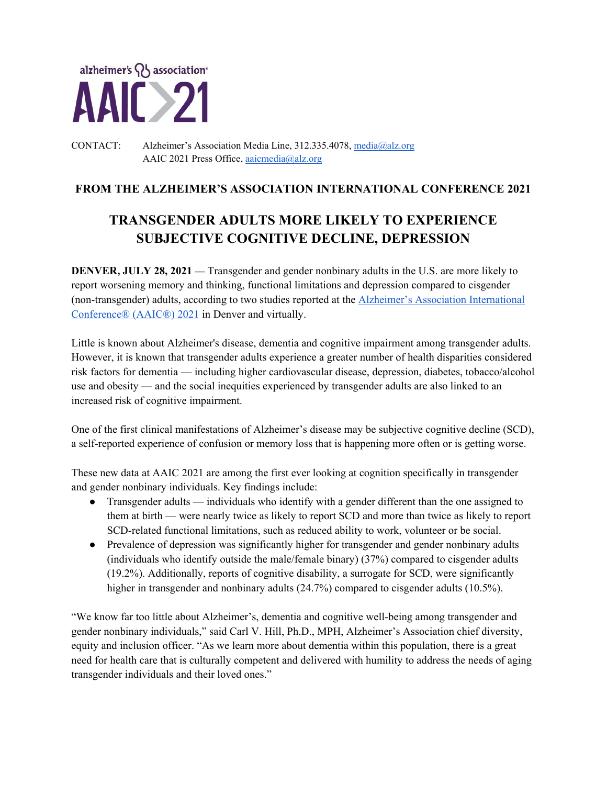

#### CONTACT: Alzheimer's Association Media Line, 312.335.4078, media@alz.org AAIC 2021 Press Office, aaicmedia@alz.org

## **FROM THE ALZHEIMER'S ASSOCIATION INTERNATIONAL CONFERENCE 2021**

# **TRANSGENDER ADULTS MORE LIKELY TO EXPERIENCE SUBJECTIVE COGNITIVE DECLINE, DEPRESSION**

**DENVER, JULY 28, 2021** — Transgender and gender nonbinary adults in the U.S. are more likely to report worsening memory and thinking, functional limitations and depression compared to cisgender (non-transgender) adults, according to two studies reported at the Alzheimer's Association International Conference® (AAIC®) 2021 in Denver and virtually.

Little is known about Alzheimer's disease, dementia and cognitive impairment among transgender adults. However, it is known that transgender adults experience a greater number of health disparities considered risk factors for dementia — including higher cardiovascular disease, depression, diabetes, tobacco/alcohol use and obesity — and the social inequities experienced by transgender adults are also linked to an increased risk of cognitive impairment.

One of the first clinical manifestations of Alzheimer's disease may be subjective cognitive decline (SCD), a self-reported experience of confusion or memory loss that is happening more often or is getting worse.

These new data at AAIC 2021 are among the first ever looking at cognition specifically in transgender and gender nonbinary individuals. Key findings include:

- Transgender adults individuals who identify with a gender different than the one assigned to them at birth — were nearly twice as likely to report SCD and more than twice as likely to report SCD-related functional limitations, such as reduced ability to work, volunteer or be social.
- Prevalence of depression was significantly higher for transgender and gender nonbinary adults (individuals who identify outside the male/female binary) (37%) compared to cisgender adults (19.2%). Additionally, reports of cognitive disability, a surrogate for SCD, were significantly higher in transgender and nonbinary adults (24.7%) compared to cisgender adults (10.5%).

"We know far too little about Alzheimer's, dementia and cognitive well-being among transgender and gender nonbinary individuals," said Carl V. Hill, Ph.D., MPH, Alzheimer's Association chief diversity, equity and inclusion officer. "As we learn more about dementia within this population, there is a great need for health care that is culturally competent and delivered with humility to address the needs of aging transgender individuals and their loved ones."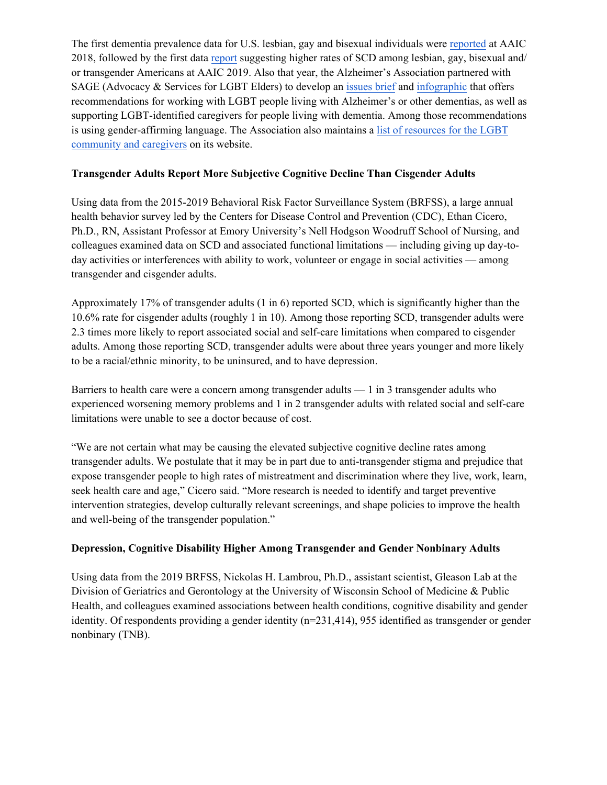The first dementia prevalence data for U.S. lesbian, gay and bisexual individuals were reported at AAIC 2018, followed by the first data report suggesting higher rates of SCD among lesbian, gay, bisexual and/ or transgender Americans at AAIC 2019. Also that year, the Alzheimer's Association partnered with SAGE (Advocacy & Services for LGBT Elders) to develop an issues brief and infographic that offers recommendations for working with LGBT people living with Alzheimer's or other dementias, as well as supporting LGBT-identified caregivers for people living with dementia. Among those recommendations is using gender-affirming language. The Association also maintains a list of resources for the LGBT community and caregivers on its website.

#### **Transgender Adults Report More Subjective Cognitive Decline Than Cisgender Adults**

Using data from the 2015-2019 Behavioral Risk Factor Surveillance System (BRFSS), a large annual health behavior survey led by the Centers for Disease Control and Prevention (CDC), Ethan Cicero, Ph.D., RN, Assistant Professor at Emory University's Nell Hodgson Woodruff School of Nursing, and colleagues examined data on SCD and associated functional limitations — including giving up day-today activities or interferences with ability to work, volunteer or engage in social activities — among transgender and cisgender adults.

Approximately 17% of transgender adults (1 in 6) reported SCD, which is significantly higher than the 10.6% rate for cisgender adults (roughly 1 in 10). Among those reporting SCD, transgender adults were 2.3 times more likely to report associated social and self-care limitations when compared to cisgender adults. Among those reporting SCD, transgender adults were about three years younger and more likely to be a racial/ethnic minority, to be uninsured, and to have depression.

Barriers to health care were a concern among transgender adults — 1 in 3 transgender adults who experienced worsening memory problems and 1 in 2 transgender adults with related social and self-care limitations were unable to see a doctor because of cost.

"We are not certain what may be causing the elevated subjective cognitive decline rates among transgender adults. We postulate that it may be in part due to anti-transgender stigma and prejudice that expose transgender people to high rates of mistreatment and discrimination where they live, work, learn, seek health care and age," Cicero said. "More research is needed to identify and target preventive intervention strategies, develop culturally relevant screenings, and shape policies to improve the health and well-being of the transgender population."

### **Depression, Cognitive Disability Higher Among Transgender and Gender Nonbinary Adults**

Using data from the 2019 BRFSS, Nickolas H. Lambrou, Ph.D., assistant scientist, Gleason Lab at the Division of Geriatrics and Gerontology at the University of Wisconsin School of Medicine & Public Health, and colleagues examined associations between health conditions, cognitive disability and gender identity. Of respondents providing a gender identity (n=231,414), 955 identified as transgender or gender nonbinary (TNB).